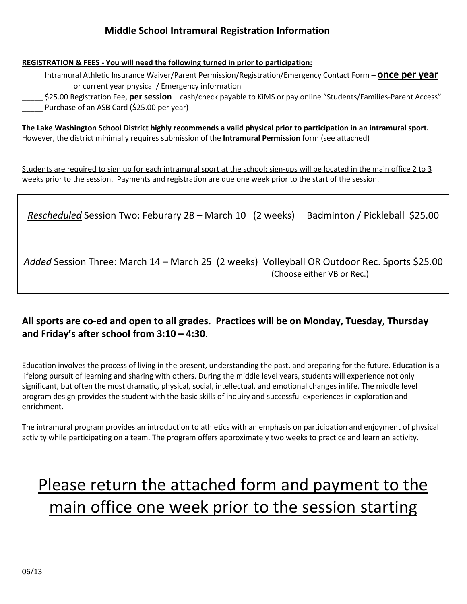## **Middle School Intramural Registration Information**

**REGISTRATION & FEES - You will need the following turned in prior to participation:**

\_\_\_\_\_ Intramural Athletic Insurance Waiver/Parent Permission/Registration/Emergency Contact Form – **once per year**  or current year physical / Emergency information

\_\_\_\_\_ \$25.00 Registration Fee, **per session** – cash/check payable to KiMS or pay online "Students/Families-Parent Access" Purchase of an ASB Card (\$25.00 per year)

**The Lake Washington School District highly recommends a valid physical prior to participation in an intramural sport.** However, the district minimally requires submission of the **Intramural Permission** form (see attached)

Students are required to sign up for each intramural sport at the school; sign-ups will be located in the main office 2 to 3 weeks prior to the session. Payments and registration are due one week prior to the start of the session.

*Rescheduled* Session Two: Feburary 28 – March 10 (2 weeks) Badminton / Pickleball \$25.00

*Added* Session Three: March 14 – March 25 (2 weeks) Volleyball OR Outdoor Rec. Sports \$25.00 (Choose either VB or Rec.)

## **All sports are co-ed and open to all grades. Practices will be on Monday, Tuesday, Thursday and Friday's after school from 3:10 – 4:30**.

Education involves the process of living in the present, understanding the past, and preparing for the future. Education is a lifelong pursuit of learning and sharing with others. During the middle level years, students will experience not only significant, but often the most dramatic, physical, social, intellectual, and emotional changes in life. The middle level program design provides the student with the basic skills of inquiry and successful experiences in exploration and enrichment.

The intramural program provides an introduction to athletics with an emphasis on participation and enjoyment of physical activity while participating on a team. The program offers approximately two weeks to practice and learn an activity.

## Please return the attached form and payment to the main office one week prior to the session starting